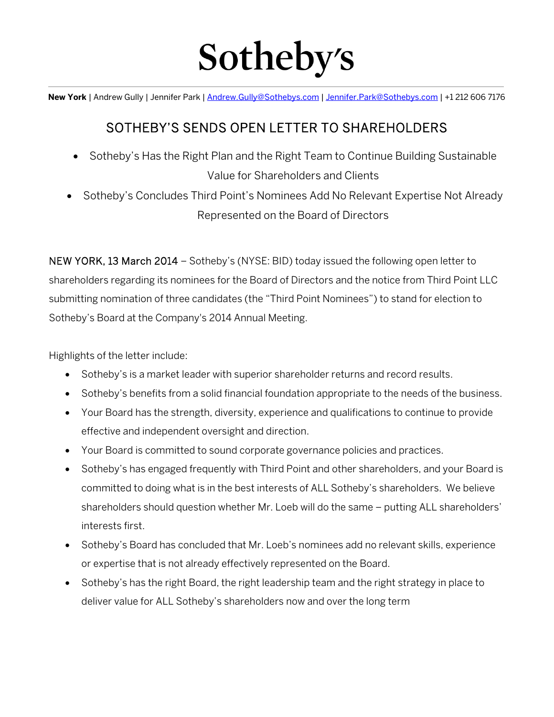# Sotheby's

**New York** | Andrew Gully | Jennifer Park | Andrew.Gully@Sothebys.com | Jennifer.Park@Sothebys.com | +1 212 606 7176  $\overline{a}$ 

# SOTHEBY'S SENDS OPEN LETTER TO SHAREHOLDERS

- Sotheby's Has the Right Plan and the Right Team to Continue Building Sustainable Value for Shareholders and Clients
- Sotheby's Concludes Third Point's Nominees Add No Relevant Expertise Not Already Represented on the Board of Directors

NEW YORK, 13 March 2014 – Sotheby's (NYSE: BID) today issued the following open letter to shareholders regarding its nominees for the Board of Directors and the notice from Third Point LLC submitting nomination of three candidates (the "Third Point Nominees") to stand for election to Sotheby's Board at the Company's 2014 Annual Meeting.

Highlights of the letter include:

- Sotheby's is a market leader with superior shareholder returns and record results.
- Sotheby's benefits from a solid financial foundation appropriate to the needs of the business.
- Your Board has the strength, diversity, experience and qualifications to continue to provide effective and independent oversight and direction.
- Your Board is committed to sound corporate governance policies and practices.
- Sotheby's has engaged frequently with Third Point and other shareholders, and your Board is committed to doing what is in the best interests of ALL Sotheby's shareholders. We believe shareholders should question whether Mr. Loeb will do the same – putting ALL shareholders' interests first.
- Sotheby's Board has concluded that Mr. Loeb's nominees add no relevant skills, experience or expertise that is not already effectively represented on the Board.
- Sotheby's has the right Board, the right leadership team and the right strategy in place to deliver value for ALL Sotheby's shareholders now and over the long term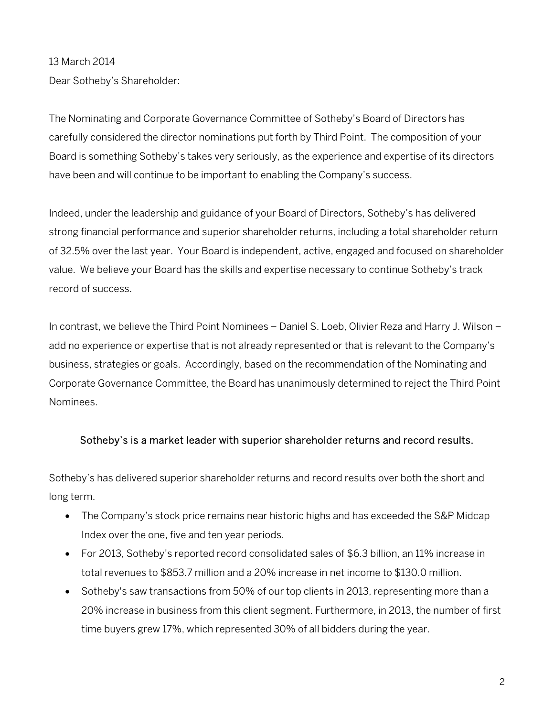## 13 March 2014

Dear Sotheby's Shareholder:

The Nominating and Corporate Governance Committee of Sotheby's Board of Directors has carefully considered the director nominations put forth by Third Point. The composition of your Board is something Sotheby's takes very seriously, as the experience and expertise of its directors have been and will continue to be important to enabling the Company's success.

Indeed, under the leadership and guidance of your Board of Directors, Sotheby's has delivered strong financial performance and superior shareholder returns, including a total shareholder return of 32.5% over the last year. Your Board is independent, active, engaged and focused on shareholder value. We believe your Board has the skills and expertise necessary to continue Sotheby's track record of success.

In contrast, we believe the Third Point Nominees – Daniel S. Loeb, Olivier Reza and Harry J. Wilson – add no experience or expertise that is not already represented or that is relevant to the Company's business, strategies or goals. Accordingly, based on the recommendation of the Nominating and Corporate Governance Committee, the Board has unanimously determined to reject the Third Point Nominees.

## Sotheby's is a market leader with superior shareholder returns and record results.

Sotheby's has delivered superior shareholder returns and record results over both the short and long term.

- The Company's stock price remains near historic highs and has exceeded the S&P Midcap Index over the one, five and ten year periods.
- For 2013, Sotheby's reported record consolidated sales of \$6.3 billion, an 11% increase in total revenues to \$853.7 million and a 20% increase in net income to \$130.0 million.
- Sotheby's saw transactions from 50% of our top clients in 2013, representing more than a 20% increase in business from this client segment. Furthermore, in 2013, the number of first time buyers grew 17%, which represented 30% of all bidders during the year.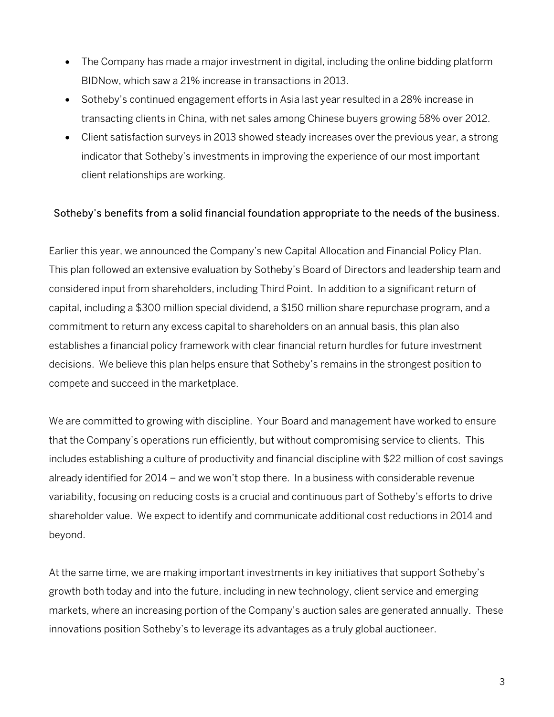- The Company has made a major investment in digital, including the online bidding platform BIDNow, which saw a 21% increase in transactions in 2013.
- Sotheby's continued engagement efforts in Asia last year resulted in a 28% increase in transacting clients in China, with net sales among Chinese buyers growing 58% over 2012.
- Client satisfaction surveys in 2013 showed steady increases over the previous year, a strong indicator that Sotheby's investments in improving the experience of our most important client relationships are working.

## Sotheby's benefits from a solid financial foundation appropriate to the needs of the business.

Earlier this year, we announced the Company's new Capital Allocation and Financial Policy Plan. This plan followed an extensive evaluation by Sotheby's Board of Directors and leadership team and considered input from shareholders, including Third Point. In addition to a significant return of capital, including a \$300 million special dividend, a \$150 million share repurchase program, and a commitment to return any excess capital to shareholders on an annual basis, this plan also establishes a financial policy framework with clear financial return hurdles for future investment decisions. We believe this plan helps ensure that Sotheby's remains in the strongest position to compete and succeed in the marketplace.

We are committed to growing with discipline. Your Board and management have worked to ensure that the Company's operations run efficiently, but without compromising service to clients. This includes establishing a culture of productivity and financial discipline with \$22 million of cost savings already identified for 2014 – and we won't stop there. In a business with considerable revenue variability, focusing on reducing costs is a crucial and continuous part of Sotheby's efforts to drive shareholder value. We expect to identify and communicate additional cost reductions in 2014 and beyond.

At the same time, we are making important investments in key initiatives that support Sotheby's growth both today and into the future, including in new technology, client service and emerging markets, where an increasing portion of the Company's auction sales are generated annually. These innovations position Sotheby's to leverage its advantages as a truly global auctioneer.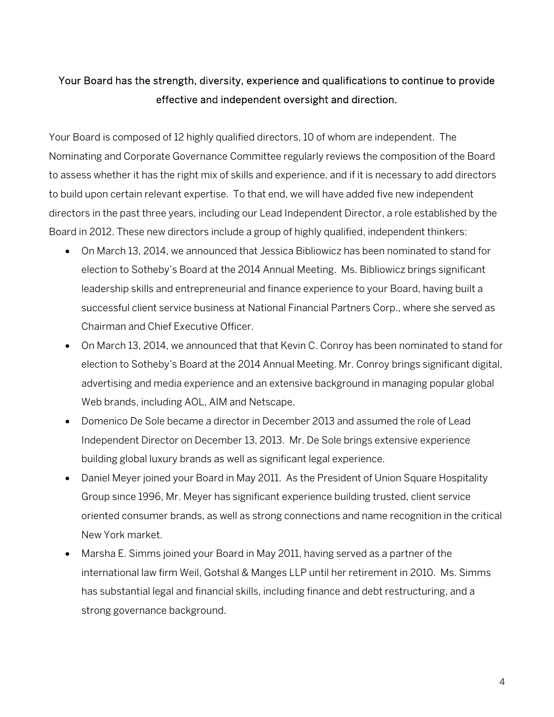## Your Board has the strength, diversity, experience and qualifications to continue to provide effective and independent oversight and direction.

Your Board is composed of 12 highly qualified directors, 10 of whom are independent. The Nominating and Corporate Governance Committee regularly reviews the composition of the Board to assess whether it has the right mix of skills and experience, and if it is necessary to add directors to build upon certain relevant expertise. To that end, we will have added five new independent directors in the past three years, including our Lead Independent Director, a role established by the Board in 2012. These new directors include a group of highly qualified, independent thinkers:

- On March 13, 2014, we announced that Jessica Bibliowicz has been nominated to stand for election to Sotheby's Board at the 2014 Annual Meeting. Ms. Bibliowicz brings significant leadership skills and entrepreneurial and finance experience to your Board, having built a successful client service business at National Financial Partners Corp., where she served as Chairman and Chief Executive Officer.
- On March 13, 2014, we announced that that Kevin C. Conroy has been nominated to stand for election to Sotheby's Board at the 2014 Annual Meeting. Mr. Conroy brings significant digital, advertising and media experience and an extensive background in managing popular global Web brands, including AOL, AIM and Netscape.
- Domenico De Sole became a director in December 2013 and assumed the role of Lead Independent Director on December 13, 2013. Mr. De Sole brings extensive experience building global luxury brands as well as significant legal experience.
- Daniel Meyer joined your Board in May 2011. As the President of Union Square Hospitality Group since 1996, Mr. Meyer has significant experience building trusted, client service oriented consumer brands, as well as strong connections and name recognition in the critical New York market.
- Marsha E. Simms joined your Board in May 2011, having served as a partner of the international law firm Weil, Gotshal & Manges LLP until her retirement in 2010. Ms. Simms has substantial legal and financial skills, including finance and debt restructuring, and a strong governance background.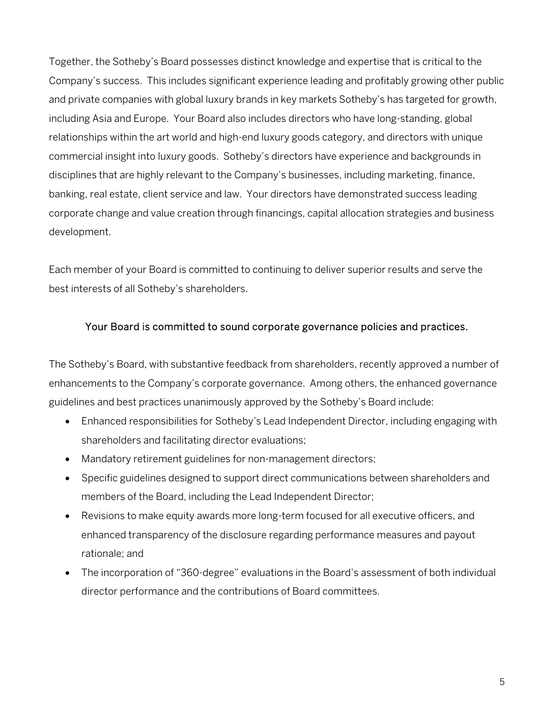Together, the Sotheby's Board possesses distinct knowledge and expertise that is critical to the Company's success. This includes significant experience leading and profitably growing other public and private companies with global luxury brands in key markets Sotheby's has targeted for growth, including Asia and Europe. Your Board also includes directors who have long-standing, global relationships within the art world and high-end luxury goods category, and directors with unique commercial insight into luxury goods. Sotheby's directors have experience and backgrounds in disciplines that are highly relevant to the Company's businesses, including marketing, finance, banking, real estate, client service and law. Your directors have demonstrated success leading corporate change and value creation through financings, capital allocation strategies and business development.

Each member of your Board is committed to continuing to deliver superior results and serve the best interests of all Sotheby's shareholders.

## Your Board is committed to sound corporate governance policies and practices.

The Sotheby's Board, with substantive feedback from shareholders, recently approved a number of enhancements to the Company's corporate governance. Among others, the enhanced governance guidelines and best practices unanimously approved by the Sotheby's Board include:

- Enhanced responsibilities for Sotheby's Lead Independent Director, including engaging with shareholders and facilitating director evaluations;
- Mandatory retirement guidelines for non-management directors;
- Specific guidelines designed to support direct communications between shareholders and members of the Board, including the Lead Independent Director;
- Revisions to make equity awards more long-term focused for all executive officers, and enhanced transparency of the disclosure regarding performance measures and payout rationale; and
- The incorporation of "360-degree" evaluations in the Board's assessment of both individual director performance and the contributions of Board committees.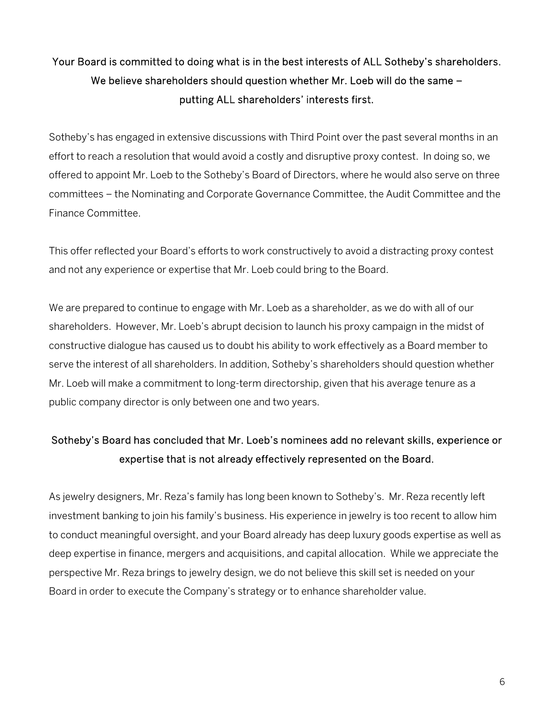# Your Board is committed to doing what is in the best interests of ALL Sotheby's shareholders. We believe shareholders should question whether Mr. Loeb will do the same putting ALL shareholders' interests first.

Sotheby's has engaged in extensive discussions with Third Point over the past several months in an effort to reach a resolution that would avoid a costly and disruptive proxy contest. In doing so, we offered to appoint Mr. Loeb to the Sotheby's Board of Directors, where he would also serve on three committees – the Nominating and Corporate Governance Committee, the Audit Committee and the Finance Committee.

This offer reflected your Board's efforts to work constructively to avoid a distracting proxy contest and not any experience or expertise that Mr. Loeb could bring to the Board.

We are prepared to continue to engage with Mr. Loeb as a shareholder, as we do with all of our shareholders. However, Mr. Loeb's abrupt decision to launch his proxy campaign in the midst of constructive dialogue has caused us to doubt his ability to work effectively as a Board member to serve the interest of all shareholders. In addition, Sotheby's shareholders should question whether Mr. Loeb will make a commitment to long-term directorship, given that his average tenure as a public company director is only between one and two years.

# Sotheby's Board has concluded that Mr. Loeb's nominees add no relevant skills, experience or expertise that is not already effectively represented on the Board.

As jewelry designers, Mr. Reza's family has long been known to Sotheby's. Mr. Reza recently left investment banking to join his family's business. His experience in jewelry is too recent to allow him to conduct meaningful oversight, and your Board already has deep luxury goods expertise as well as deep expertise in finance, mergers and acquisitions, and capital allocation. While we appreciate the perspective Mr. Reza brings to jewelry design, we do not believe this skill set is needed on your Board in order to execute the Company's strategy or to enhance shareholder value.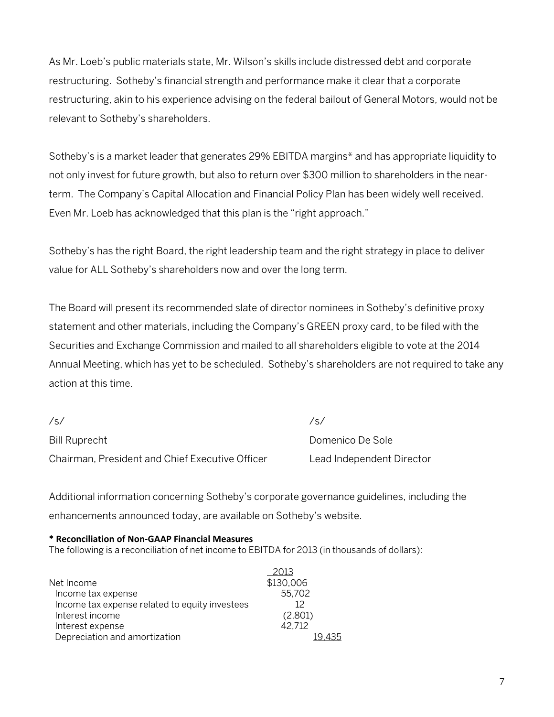As Mr. Loeb's public materials state, Mr. Wilson's skills include distressed debt and corporate restructuring. Sotheby's financial strength and performance make it clear that a corporate restructuring, akin to his experience advising on the federal bailout of General Motors, would not be relevant to Sotheby's shareholders.

Sotheby's is a market leader that generates 29% EBITDA margins\* and has appropriate liquidity to not only invest for future growth, but also to return over \$300 million to shareholders in the nearterm. The Company's Capital Allocation and Financial Policy Plan has been widely well received. Even Mr. Loeb has acknowledged that this plan is the "right approach."

Sotheby's has the right Board, the right leadership team and the right strategy in place to deliver value for ALL Sotheby's shareholders now and over the long term.

The Board will present its recommended slate of director nominees in Sotheby's definitive proxy statement and other materials, including the Company's GREEN proxy card, to be filed with the Securities and Exchange Commission and mailed to all shareholders eligible to vote at the 2014 Annual Meeting, which has yet to be scheduled. Sotheby's shareholders are not required to take any action at this time.

| /s/                                             | $\sqrt{2}$                |
|-------------------------------------------------|---------------------------|
| Bill Ruprecht                                   | Domenico De Sole          |
| Chairman, President and Chief Executive Officer | Lead Independent Director |

Additional information concerning Sotheby's corporate governance guidelines, including the enhancements announced today, are available on Sotheby's website.

#### **\* Reconciliation of Non-GAAP Financial Measures**

The following is a reconciliation of net income to EBITDA for 2013 (in thousands of dollars):

|                                                | 2013            |
|------------------------------------------------|-----------------|
| Net Income                                     | \$130,006       |
| Income tax expense                             | 55,702          |
| Income tax expense related to equity investees | 12 <sup>°</sup> |
| Interest income                                | (2,801)         |
| Interest expense                               | 42.712          |
| Depreciation and amortization                  |                 |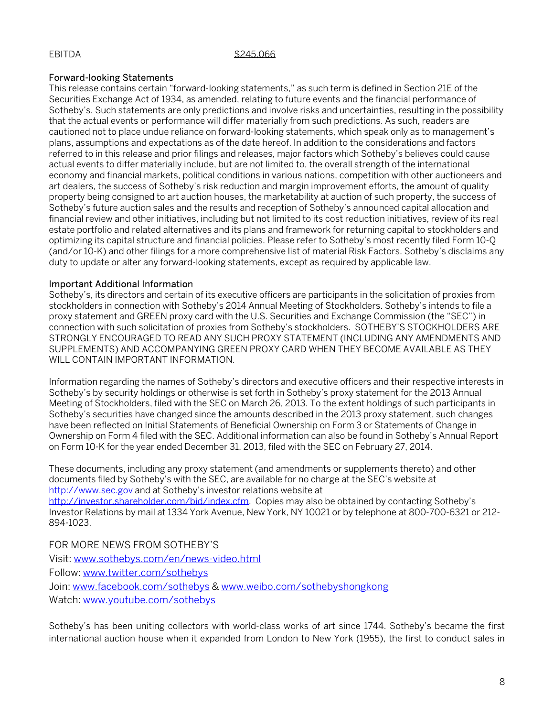#### EBITDA \$245,066

#### Forward-looking Statements

This release contains certain "forward-looking statements," as such term is defined in Section 21E of the Securities Exchange Act of 1934, as amended, relating to future events and the financial performance of Sotheby's. Such statements are only predictions and involve risks and uncertainties, resulting in the possibility that the actual events or performance will differ materially from such predictions. As such, readers are cautioned not to place undue reliance on forward-looking statements, which speak only as to management's plans, assumptions and expectations as of the date hereof. In addition to the considerations and factors referred to in this release and prior filings and releases, major factors which Sotheby's believes could cause actual events to differ materially include, but are not limited to, the overall strength of the international economy and financial markets, political conditions in various nations, competition with other auctioneers and art dealers, the success of Sotheby's risk reduction and margin improvement efforts, the amount of quality property being consigned to art auction houses, the marketability at auction of such property, the success of Sotheby's future auction sales and the results and reception of Sotheby's announced capital allocation and financial review and other initiatives, including but not limited to its cost reduction initiatives, review of its real estate portfolio and related alternatives and its plans and framework for returning capital to stockholders and optimizing its capital structure and financial policies. Please refer to Sotheby's most recently filed Form 10-Q (and/or 10-K) and other filings for a more comprehensive list of material Risk Factors. Sotheby's disclaims any duty to update or alter any forward-looking statements, except as required by applicable law.

#### Important Additional Information

Sotheby's, its directors and certain of its executive officers are participants in the solicitation of proxies from stockholders in connection with Sotheby's 2014 Annual Meeting of Stockholders. Sotheby's intends to file a proxy statement and GREEN proxy card with the U.S. Securities and Exchange Commission (the "SEC") in connection with such solicitation of proxies from Sotheby's stockholders. SOTHEBY'S STOCKHOLDERS ARE STRONGLY ENCOURAGED TO READ ANY SUCH PROXY STATEMENT (INCLUDING ANY AMENDMENTS AND SUPPLEMENTS) AND ACCOMPANYING GREEN PROXY CARD WHEN THEY BECOME AVAILABLE AS THEY WILL CONTAIN IMPORTANT INFORMATION.

Information regarding the names of Sotheby's directors and executive officers and their respective interests in Sotheby's by security holdings or otherwise is set forth in Sotheby's proxy statement for the 2013 Annual Meeting of Stockholders, filed with the SEC on March 26, 2013. To the extent holdings of such participants in Sotheby's securities have changed since the amounts described in the 2013 proxy statement, such changes have been reflected on Initial Statements of Beneficial Ownership on Form 3 or Statements of Change in Ownership on Form 4 filed with the SEC. Additional information can also be found in Sotheby's Annual Report on Form 10-K for the year ended December 31, 2013, filed with the SEC on February 27, 2014.

These documents, including any proxy statement (and amendments or supplements thereto) and other documents filed by Sotheby's with the SEC, are available for no charge at the SEC's website at http://www.sec.gov and at Sotheby's investor relations website at

http://investor.shareholder.com/bid/index.cfm. Copies may also be obtained by contacting Sotheby's Investor Relations by mail at 1334 York Avenue, New York, NY 10021 or by telephone at 800-700-6321 or 212- 894-1023.

FOR MORE NEWS FROM SOTHEBY'S

Visit: www.sothebys.com/en/news-video.html Follow: www.twitter.com/sothebys Join: www.facebook.com/sothebys & www.weibo.com/sothebyshongkong Watch: www.youtube.com/sothebys

Sotheby's has been uniting collectors with world-class works of art since 1744. Sotheby's became the first international auction house when it expanded from London to New York (1955), the first to conduct sales in